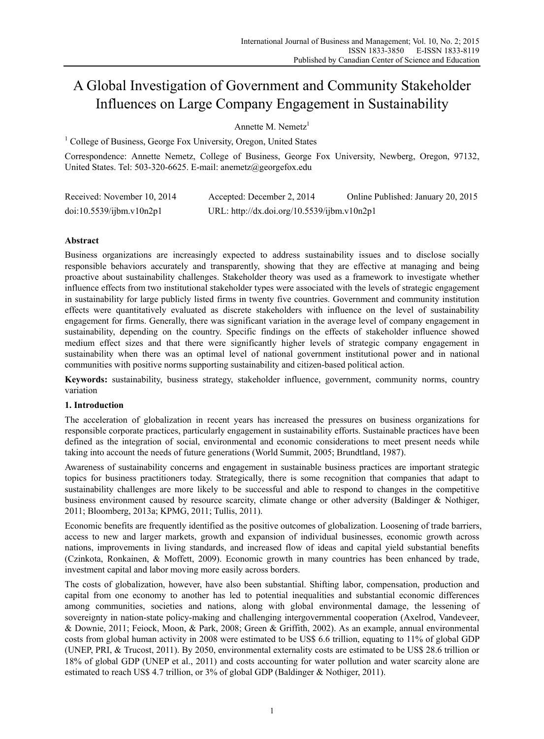# A Global Investigation of Government and Community Stakeholder Influences on Large Company Engagement in Sustainability

Annette M. Nemetz $<sup>1</sup>$ </sup>

<sup>1</sup> College of Business, George Fox University, Oregon, United States

Correspondence: Annette Nemetz, College of Business, George Fox University, Newberg, Oregon, 97132, United States. Tel: 503-320-6625. E-mail: anemetz@georgefox.edu

| Received: November 10, 2014 | Accepted: December 2, 2014                  | Online Published: January 20, 2015 |
|-----------------------------|---------------------------------------------|------------------------------------|
| doi:10.5539/ijbm.v10n2p1    | URL: http://dx.doi.org/10.5539/ijbm.v10n2p1 |                                    |

# **Abstract**

Business organizations are increasingly expected to address sustainability issues and to disclose socially responsible behaviors accurately and transparently, showing that they are effective at managing and being proactive about sustainability challenges. Stakeholder theory was used as a framework to investigate whether influence effects from two institutional stakeholder types were associated with the levels of strategic engagement in sustainability for large publicly listed firms in twenty five countries. Government and community institution effects were quantitatively evaluated as discrete stakeholders with influence on the level of sustainability engagement for firms. Generally, there was significant variation in the average level of company engagement in sustainability, depending on the country. Specific findings on the effects of stakeholder influence showed medium effect sizes and that there were significantly higher levels of strategic company engagement in sustainability when there was an optimal level of national government institutional power and in national communities with positive norms supporting sustainability and citizen-based political action.

**Keywords:** sustainability, business strategy, stakeholder influence, government, community norms, country variation

# **1. Introduction**

The acceleration of globalization in recent years has increased the pressures on business organizations for responsible corporate practices, particularly engagement in sustainability efforts. Sustainable practices have been defined as the integration of social, environmental and economic considerations to meet present needs while taking into account the needs of future generations (World Summit, 2005; Brundtland, 1987).

Awareness of sustainability concerns and engagement in sustainable business practices are important strategic topics for business practitioners today. Strategically, there is some recognition that companies that adapt to sustainability challenges are more likely to be successful and able to respond to changes in the competitive business environment caused by resource scarcity, climate change or other adversity (Baldinger & Nothiger, 2011; Bloomberg, 2013a; KPMG, 2011; Tullis, 2011).

Economic benefits are frequently identified as the positive outcomes of globalization. Loosening of trade barriers, access to new and larger markets, growth and expansion of individual businesses, economic growth across nations, improvements in living standards, and increased flow of ideas and capital yield substantial benefits (Czinkota, Ronkainen, & Moffett, 2009). Economic growth in many countries has been enhanced by trade, investment capital and labor moving more easily across borders.

The costs of globalization, however, have also been substantial. Shifting labor, compensation, production and capital from one economy to another has led to potential inequalities and substantial economic differences among communities, societies and nations, along with global environmental damage, the lessening of sovereignty in nation-state policy-making and challenging intergovernmental cooperation (Axelrod, Vandeveer, & Downie, 2011; Feiock, Moon, & Park, 2008; Green & Griffith, 2002). As an example, annual environmental costs from global human activity in 2008 were estimated to be US\$ 6.6 trillion, equating to 11% of global GDP (UNEP, PRI, & Trucost, 2011). By 2050, environmental externality costs are estimated to be US\$ 28.6 trillion or 18% of global GDP (UNEP et al., 2011) and costs accounting for water pollution and water scarcity alone are estimated to reach US\$ 4.7 trillion, or 3% of global GDP (Baldinger & Nothiger, 2011).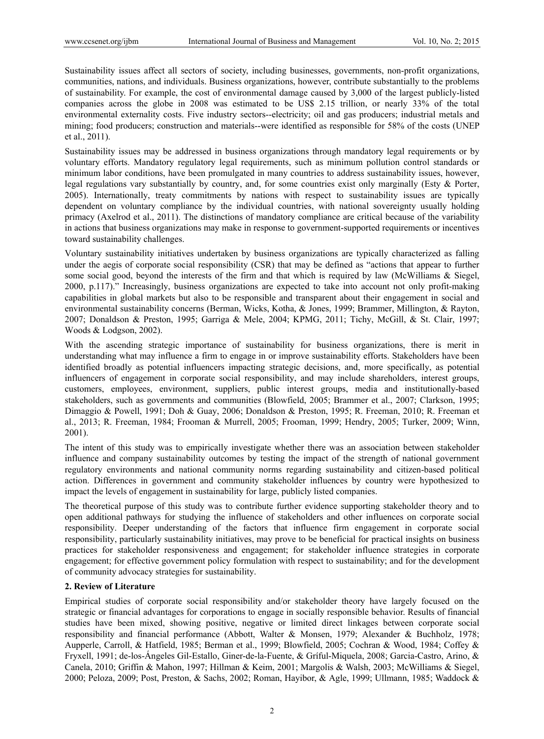Sustainability issues affect all sectors of society, including businesses, governments, non-profit organizations, communities, nations, and individuals. Business organizations, however, contribute substantially to the problems of sustainability. For example, the cost of environmental damage caused by 3,000 of the largest publicly-listed companies across the globe in 2008 was estimated to be US\$ 2.15 trillion, or nearly 33% of the total environmental externality costs. Five industry sectors--electricity; oil and gas producers; industrial metals and mining; food producers; construction and materials--were identified as responsible for 58% of the costs (UNEP et al., 2011).

Sustainability issues may be addressed in business organizations through mandatory legal requirements or by voluntary efforts. Mandatory regulatory legal requirements, such as minimum pollution control standards or minimum labor conditions, have been promulgated in many countries to address sustainability issues, however, legal regulations vary substantially by country, and, for some countries exist only marginally (Esty & Porter, 2005). Internationally, treaty commitments by nations with respect to sustainability issues are typically dependent on voluntary compliance by the individual countries, with national sovereignty usually holding primacy (Axelrod et al., 2011). The distinctions of mandatory compliance are critical because of the variability in actions that business organizations may make in response to government-supported requirements or incentives toward sustainability challenges.

Voluntary sustainability initiatives undertaken by business organizations are typically characterized as falling under the aegis of corporate social responsibility (CSR) that may be defined as "actions that appear to further some social good, beyond the interests of the firm and that which is required by law (McWilliams & Siegel, 2000, p.117)." Increasingly, business organizations are expected to take into account not only profit-making capabilities in global markets but also to be responsible and transparent about their engagement in social and environmental sustainability concerns (Berman, Wicks, Kotha, & Jones, 1999; Brammer, Millington, & Rayton, 2007; Donaldson & Preston, 1995; Garriga & Mele, 2004; KPMG, 2011; Tichy, McGill, & St. Clair, 1997; Woods & Lodgson, 2002).

With the ascending strategic importance of sustainability for business organizations, there is merit in understanding what may influence a firm to engage in or improve sustainability efforts. Stakeholders have been identified broadly as potential influencers impacting strategic decisions, and, more specifically, as potential influencers of engagement in corporate social responsibility, and may include shareholders, interest groups, customers, employees, environment, suppliers, public interest groups, media and institutionally-based stakeholders, such as governments and communities (Blowfield, 2005; Brammer et al., 2007; Clarkson, 1995; Dimaggio & Powell, 1991; Doh & Guay, 2006; Donaldson & Preston, 1995; R. Freeman, 2010; R. Freeman et al., 2013; R. Freeman, 1984; Frooman & Murrell, 2005; Frooman, 1999; Hendry, 2005; Turker, 2009; Winn, 2001).

The intent of this study was to empirically investigate whether there was an association between stakeholder influence and company sustainability outcomes by testing the impact of the strength of national government regulatory environments and national community norms regarding sustainability and citizen-based political action. Differences in government and community stakeholder influences by country were hypothesized to impact the levels of engagement in sustainability for large, publicly listed companies.

The theoretical purpose of this study was to contribute further evidence supporting stakeholder theory and to open additional pathways for studying the influence of stakeholders and other influences on corporate social responsibility. Deeper understanding of the factors that influence firm engagement in corporate social responsibility, particularly sustainability initiatives, may prove to be beneficial for practical insights on business practices for stakeholder responsiveness and engagement; for stakeholder influence strategies in corporate engagement; for effective government policy formulation with respect to sustainability; and for the development of community advocacy strategies for sustainability.

# **2. Review of Literature**

Empirical studies of corporate social responsibility and/or stakeholder theory have largely focused on the strategic or financial advantages for corporations to engage in socially responsible behavior. Results of financial studies have been mixed, showing positive, negative or limited direct linkages between corporate social responsibility and financial performance (Abbott, Walter & Monsen, 1979; Alexander & Buchholz, 1978; Aupperle, Carroll, & Hatfield, 1985; Berman et al., 1999; Blowfield, 2005; Cochran & Wood, 1984; Coffey & Fryxell, 1991; de-los-Ángeles Gil-Estallo, Giner-de-la-Fuente, & Gríful-Miquela, 2008; Garcia-Castro, Arino, & Canela, 2010; Griffin & Mahon, 1997; Hillman & Keim, 2001; Margolis & Walsh, 2003; McWilliams & Siegel, 2000; Peloza, 2009; Post, Preston, & Sachs, 2002; Roman, Hayibor, & Agle, 1999; Ullmann, 1985; Waddock &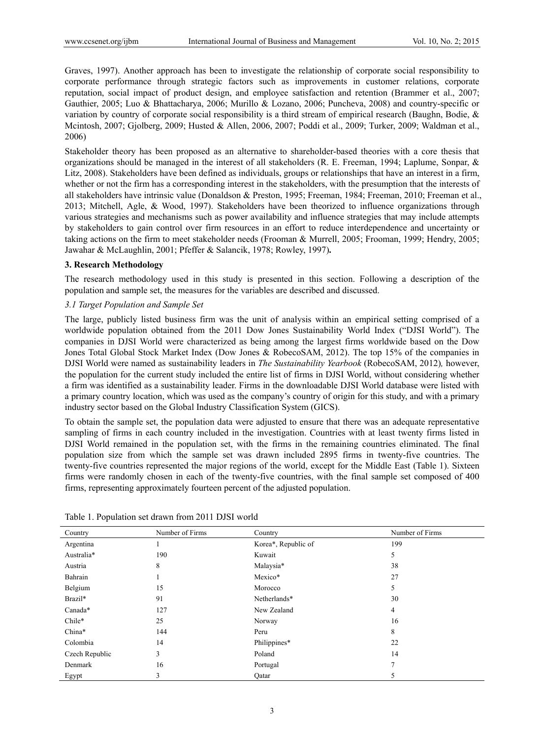Graves, 1997). Another approach has been to investigate the relationship of corporate social responsibility to corporate performance through strategic factors such as improvements in customer relations, corporate reputation, social impact of product design, and employee satisfaction and retention (Brammer et al., 2007; Gauthier, 2005; Luo & Bhattacharya, 2006; Murillo & Lozano, 2006; Puncheva, 2008) and country-specific or variation by country of corporate social responsibility is a third stream of empirical research (Baughn, Bodie, & Mcintosh, 2007; Gjolberg, 2009; Husted & Allen, 2006, 2007; Poddi et al., 2009; Turker, 2009; Waldman et al., 2006)

Stakeholder theory has been proposed as an alternative to shareholder-based theories with a core thesis that organizations should be managed in the interest of all stakeholders (R. E. Freeman, 1994; Laplume, Sonpar, & Litz, 2008). Stakeholders have been defined as individuals, groups or relationships that have an interest in a firm, whether or not the firm has a corresponding interest in the stakeholders, with the presumption that the interests of all stakeholders have intrinsic value (Donaldson & Preston, 1995; Freeman, 1984; Freeman, 2010; Freeman et al., 2013; Mitchell, Agle, & Wood, 1997). Stakeholders have been theorized to influence organizations through various strategies and mechanisms such as power availability and influence strategies that may include attempts by stakeholders to gain control over firm resources in an effort to reduce interdependence and uncertainty or taking actions on the firm to meet stakeholder needs (Frooman & Murrell, 2005; Frooman, 1999; Hendry, 2005; Jawahar & McLaughlin, 2001; Pfeffer & Salancik, 1978; Rowley, 1997)**.**

# **3. Research Methodology**

The research methodology used in this study is presented in this section. Following a description of the population and sample set, the measures for the variables are described and discussed.

# *3.1 Target Population and Sample Set*

The large, publicly listed business firm was the unit of analysis within an empirical setting comprised of a worldwide population obtained from the 2011 Dow Jones Sustainability World Index ("DJSI World"). The companies in DJSI World were characterized as being among the largest firms worldwide based on the Dow Jones Total Global Stock Market Index (Dow Jones & RobecoSAM, 2012). The top 15% of the companies in DJSI World were named as sustainability leaders in *The Sustainability Yearbook* (RobecoSAM, 2012)*,* however, the population for the current study included the entire list of firms in DJSI World, without considering whether a firm was identified as a sustainability leader. Firms in the downloadable DJSI World database were listed with a primary country location, which was used as the company's country of origin for this study, and with a primary industry sector based on the Global Industry Classification System (GICS).

To obtain the sample set, the population data were adjusted to ensure that there was an adequate representative sampling of firms in each country included in the investigation. Countries with at least twenty firms listed in DJSI World remained in the population set, with the firms in the remaining countries eliminated. The final population size from which the sample set was drawn included 2895 firms in twenty-five countries. The twenty-five countries represented the major regions of the world, except for the Middle East (Table 1). Sixteen firms were randomly chosen in each of the twenty-five countries, with the final sample set composed of 400 firms, representing approximately fourteen percent of the adjusted population.

| Country        | Number of Firms | Country             | Number of Firms |
|----------------|-----------------|---------------------|-----------------|
| Argentina      |                 | Korea*, Republic of | 199             |
| Australia*     | 190             | Kuwait              | 5               |
| Austria        | 8               | Malaysia*           | 38              |
| Bahrain        |                 | Mexico*             | 27              |
| Belgium        | 15              | Morocco             | 5               |
| Brazil*        | 91              | Netherlands*        | 30              |
| Canada*        | 127             | New Zealand         | 4               |
| Chile*         | 25              | Norway              | 16              |
| China*         | 144             | Peru                | 8               |
| Colombia       | 14              | Philippines*        | 22              |
| Czech Republic | 3               | Poland              | 14              |
| Denmark        | 16              | Portugal            | $\overline{7}$  |
| Egypt          | 3               | Qatar               |                 |

Table 1. Population set drawn from 2011 DJSI world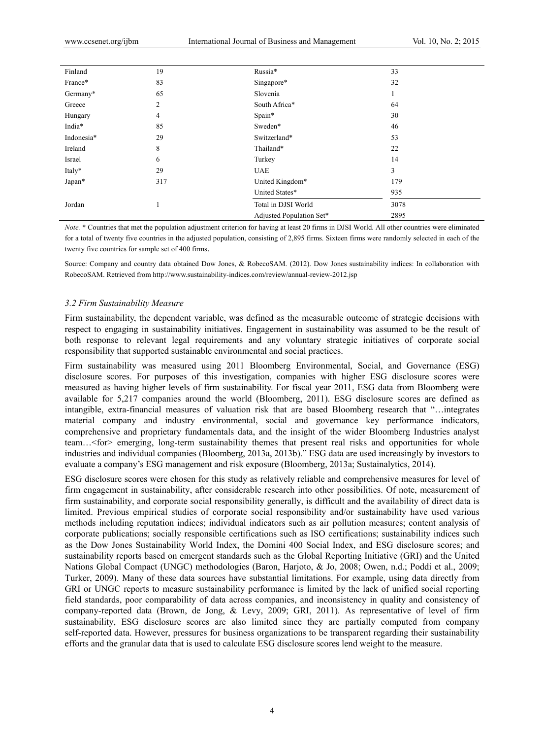| Finland    | 19  | Russia*                  | 33   |  |
|------------|-----|--------------------------|------|--|
| France*    | 83  | Singapore*               | 32   |  |
| Germany*   | 65  | Slovenia                 |      |  |
| Greece     | 2   | South Africa*            | 64   |  |
| Hungary    | 4   | Spain*                   | 30   |  |
| India*     | 85  | Sweden*                  | 46   |  |
| Indonesia* | 29  | Switzerland*             | 53   |  |
| Ireland    | 8   | Thailand*                | 22   |  |
| Israel     | 6   | Turkey                   | 14   |  |
| Italy*     | 29  | <b>UAE</b>               | 3    |  |
| Japan*     | 317 | United Kingdom*          | 179  |  |
|            |     | United States*           | 935  |  |
| Jordan     |     | Total in DJSI World      | 3078 |  |
|            |     | Adjusted Population Set* | 2895 |  |

*Note.* \* Countries that met the population adjustment criterion for having at least 20 firms in DJSI World. All other countries were eliminated for a total of twenty five countries in the adjusted population, consisting of 2,895 firms. Sixteen firms were randomly selected in each of the twenty five countries for sample set of 400 firms.

Source: Company and country data obtained Dow Jones, & RobecoSAM. (2012). Dow Jones sustainability indices: In collaboration with RobecoSAM. Retrieved from http://www.sustainability-indices.com/review/annual-review-2012.jsp

## *3.2 Firm Sustainability Measure*

Firm sustainability, the dependent variable, was defined as the measurable outcome of strategic decisions with respect to engaging in sustainability initiatives. Engagement in sustainability was assumed to be the result of both response to relevant legal requirements and any voluntary strategic initiatives of corporate social responsibility that supported sustainable environmental and social practices.

Firm sustainability was measured using 2011 Bloomberg Environmental, Social, and Governance (ESG) disclosure scores. For purposes of this investigation, companies with higher ESG disclosure scores were measured as having higher levels of firm sustainability. For fiscal year 2011, ESG data from Bloomberg were available for 5,217 companies around the world (Bloomberg, 2011). ESG disclosure scores are defined as intangible, extra-financial measures of valuation risk that are based Bloomberg research that "…integrates material company and industry environmental, social and governance key performance indicators, comprehensive and proprietary fundamentals data, and the insight of the wider Bloomberg Industries analyst team...<for> emerging, long-term sustainability themes that present real risks and opportunities for whole industries and individual companies (Bloomberg, 2013a, 2013b)." ESG data are used increasingly by investors to evaluate a company's ESG management and risk exposure (Bloomberg, 2013a; Sustainalytics, 2014).

ESG disclosure scores were chosen for this study as relatively reliable and comprehensive measures for level of firm engagement in sustainability, after considerable research into other possibilities. Of note, measurement of firm sustainability, and corporate social responsibility generally, is difficult and the availability of direct data is limited. Previous empirical studies of corporate social responsibility and/or sustainability have used various methods including reputation indices; individual indicators such as air pollution measures; content analysis of corporate publications; socially responsible certifications such as ISO certifications; sustainability indices such as the Dow Jones Sustainability World Index, the Domini 400 Social Index, and ESG disclosure scores; and sustainability reports based on emergent standards such as the Global Reporting Initiative (GRI) and the United Nations Global Compact (UNGC) methodologies (Baron, Harjoto, & Jo, 2008; Owen, n.d.; Poddi et al., 2009; Turker, 2009). Many of these data sources have substantial limitations. For example, using data directly from GRI or UNGC reports to measure sustainability performance is limited by the lack of unified social reporting field standards, poor comparability of data across companies, and inconsistency in quality and consistency of company-reported data (Brown, de Jong, & Levy, 2009; GRI, 2011). As representative of level of firm sustainability, ESG disclosure scores are also limited since they are partially computed from company self-reported data. However, pressures for business organizations to be transparent regarding their sustainability efforts and the granular data that is used to calculate ESG disclosure scores lend weight to the measure.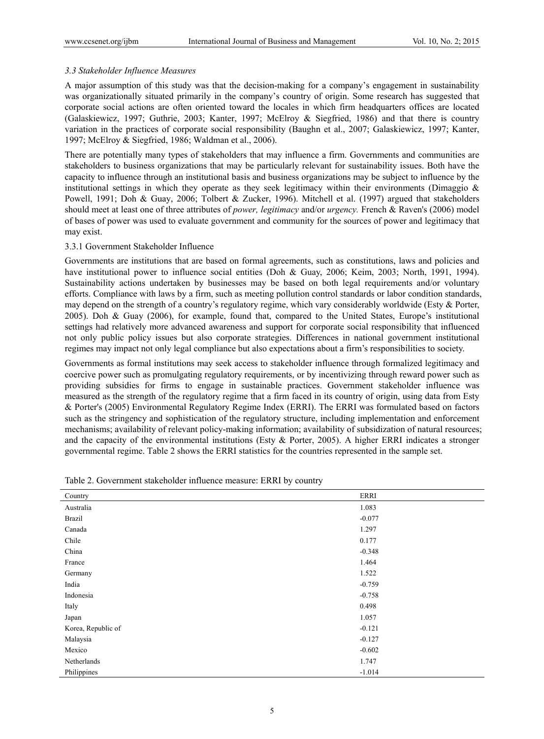## *3.3 Stakeholder Influence Measures*

A major assumption of this study was that the decision-making for a company's engagement in sustainability was organizationally situated primarily in the company's country of origin. Some research has suggested that corporate social actions are often oriented toward the locales in which firm headquarters offices are located (Galaskiewicz, 1997; Guthrie, 2003; Kanter, 1997; McElroy & Siegfried, 1986) and that there is country variation in the practices of corporate social responsibility (Baughn et al., 2007; Galaskiewicz, 1997; Kanter, 1997; McElroy & Siegfried, 1986; Waldman et al., 2006).

There are potentially many types of stakeholders that may influence a firm. Governments and communities are stakeholders to business organizations that may be particularly relevant for sustainability issues. Both have the capacity to influence through an institutional basis and business organizations may be subject to influence by the institutional settings in which they operate as they seek legitimacy within their environments (Dimaggio  $\&$ Powell, 1991; Doh & Guay, 2006; Tolbert & Zucker, 1996). Mitchell et al. (1997) argued that stakeholders should meet at least one of three attributes of *power, legitimacy* and/or *urgency.* French & Raven's (2006) model of bases of power was used to evaluate government and community for the sources of power and legitimacy that may exist.

## 3.3.1 Government Stakeholder Influence

Governments are institutions that are based on formal agreements, such as constitutions, laws and policies and have institutional power to influence social entities (Doh & Guay, 2006; Keim, 2003; North, 1991, 1994). Sustainability actions undertaken by businesses may be based on both legal requirements and/or voluntary efforts. Compliance with laws by a firm, such as meeting pollution control standards or labor condition standards, may depend on the strength of a country's regulatory regime, which vary considerably worldwide (Esty & Porter, 2005). Doh & Guay (2006), for example, found that, compared to the United States, Europe's institutional settings had relatively more advanced awareness and support for corporate social responsibility that influenced not only public policy issues but also corporate strategies. Differences in national government institutional regimes may impact not only legal compliance but also expectations about a firm's responsibilities to society.

Governments as formal institutions may seek access to stakeholder influence through formalized legitimacy and coercive power such as promulgating regulatory requirements, or by incentivizing through reward power such as providing subsidies for firms to engage in sustainable practices. Government stakeholder influence was measured as the strength of the regulatory regime that a firm faced in its country of origin, using data from Esty & Porter's (2005) Environmental Regulatory Regime Index (ERRI). The ERRI was formulated based on factors such as the stringency and sophistication of the regulatory structure, including implementation and enforcement mechanisms; availability of relevant policy-making information; availability of subsidization of natural resources; and the capacity of the environmental institutions (Esty & Porter, 2005). A higher ERRI indicates a stronger governmental regime. Table 2 shows the ERRI statistics for the countries represented in the sample set.

| Country            | <b>ERRI</b> |
|--------------------|-------------|
| Australia          | 1.083       |
| <b>Brazil</b>      | $-0.077$    |
| Canada             | 1.297       |
| Chile              | 0.177       |
| China              | $-0.348$    |
| France             | 1.464       |
| Germany            | 1.522       |
| India              | $-0.759$    |
| Indonesia          | $-0.758$    |
| Italy              | 0.498       |
| Japan              | 1.057       |
| Korea, Republic of | $-0.121$    |
| Malaysia           | $-0.127$    |
| Mexico             | $-0.602$    |
| Netherlands        | 1.747       |
| Philippines        | $-1.014$    |

Table 2. Government stakeholder influence measure: ERRI by country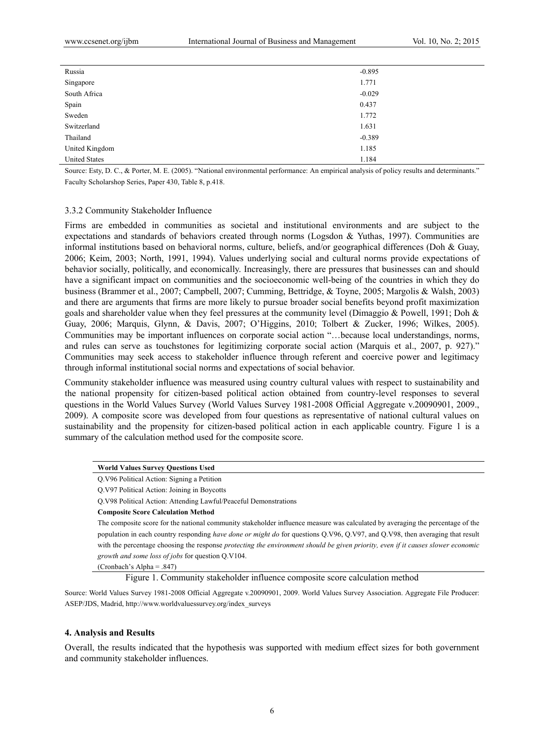| Russia               | $-0.895$ |  |
|----------------------|----------|--|
| Singapore            | 1.771    |  |
| South Africa         | $-0.029$ |  |
| Spain                | 0.437    |  |
| Sweden               | 1.772    |  |
| Switzerland          | 1.631    |  |
| Thailand             | $-0.389$ |  |
| United Kingdom       | 1.185    |  |
| <b>United States</b> | 1.184    |  |

Source: Esty, D. C., & Porter, M. E. (2005). "National environmental performance: An empirical analysis of policy results and determinants." Faculty Scholarshop Series, Paper 430, Table 8, p.418.

#### 3.3.2 Community Stakeholder Influence

Firms are embedded in communities as societal and institutional environments and are subject to the expectations and standards of behaviors created through norms (Logsdon & Yuthas, 1997). Communities are informal institutions based on behavioral norms, culture, beliefs, and/or geographical differences (Doh & Guay, 2006; Keim, 2003; North, 1991, 1994). Values underlying social and cultural norms provide expectations of behavior socially, politically, and economically. Increasingly, there are pressures that businesses can and should have a significant impact on communities and the socioeconomic well-being of the countries in which they do business (Brammer et al., 2007; Campbell, 2007; Cumming, Bettridge, & Toyne, 2005; Margolis & Walsh, 2003) and there are arguments that firms are more likely to pursue broader social benefits beyond profit maximization goals and shareholder value when they feel pressures at the community level (Dimaggio & Powell, 1991; Doh & Guay, 2006; Marquis, Glynn, & Davis, 2007; O'Higgins, 2010; Tolbert & Zucker, 1996; Wilkes, 2005). Communities may be important influences on corporate social action "…because local understandings, norms, and rules can serve as touchstones for legitimizing corporate social action (Marquis et al., 2007, p. 927)." Communities may seek access to stakeholder influence through referent and coercive power and legitimacy through informal institutional social norms and expectations of social behavior.

Community stakeholder influence was measured using country cultural values with respect to sustainability and the national propensity for citizen-based political action obtained from country-level responses to several questions in the World Values Survey (World Values Survey 1981-2008 Official Aggregate v.20090901, 2009., 2009). A composite score was developed from four questions as representative of national cultural values on sustainability and the propensity for citizen-based political action in each applicable country. Figure 1 is a summary of the calculation method used for the composite score.

#### **World Values Survey Questions Used**

Q.V96 Political Action: Signing a Petition

Q.V97 Political Action: Joining in Boycotts

Q.V98 Political Action: Attending Lawful/Peaceful Demonstrations

**Composite Score Calculation Method** 

The composite score for the national community stakeholder influence measure was calculated by averaging the percentage of the population in each country responding *have done or might do* for questions Q.V96, Q.V97, and Q.V98, then averaging that result with the percentage choosing the response *protecting the environment should be given priority, even if it causes slower economic growth and some loss of jobs* for question Q.V104.

(Cronbach's Alpha = .847)

Figure 1. Community stakeholder influence composite score calculation method

Source: World Values Survey 1981-2008 Official Aggregate v.20090901, 2009. World Values Survey Association. Aggregate File Producer: ASEP/JDS, Madrid, http://www.worldvaluessurvey.org/index\_surveys

#### **4. Analysis and Results**

Overall, the results indicated that the hypothesis was supported with medium effect sizes for both government and community stakeholder influences.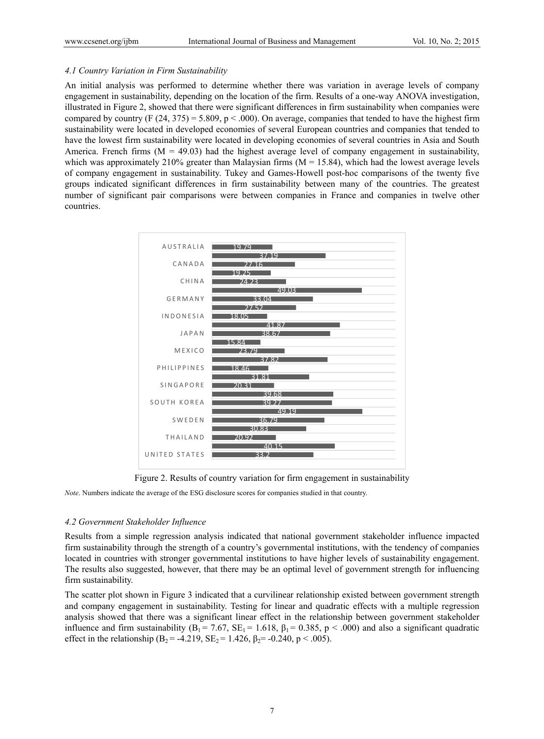## *4.1 Country Variation in Firm Sustainability*

An initial analysis was performed to determine whether there was variation in average levels of company engagement in sustainability, depending on the location of the firm. Results of a one-way ANOVA investigation, illustrated in Figure 2, showed that there were significant differences in firm sustainability when companies were compared by country (F (24, 375) = 5.809,  $p < .000$ ). On average, companies that tended to have the highest firm sustainability were located in developed economies of several European countries and companies that tended to have the lowest firm sustainability were located in developing economies of several countries in Asia and South America. French firms  $(M = 49.03)$  had the highest average level of company engagement in sustainability, which was approximately 210% greater than Malaysian firms  $(M = 15.84)$ , which had the lowest average levels of company engagement in sustainability. Tukey and Games-Howell post-hoc comparisons of the twenty five groups indicated significant differences in firm sustainability between many of the countries. The greatest number of significant pair comparisons were between companies in France and companies in twelve other countries.



Figure 2. Results of country variation for firm engagement in sustainability

*Note*. Numbers indicate the average of the ESG disclosure scores for companies studied in that country.

#### *4.2 Government Stakeholder Influence*

Results from a simple regression analysis indicated that national government stakeholder influence impacted firm sustainability through the strength of a country's governmental institutions, with the tendency of companies located in countries with stronger governmental institutions to have higher levels of sustainability engagement. The results also suggested, however, that there may be an optimal level of government strength for influencing firm sustainability.

The scatter plot shown in Figure 3 indicated that a curvilinear relationship existed between government strength and company engagement in sustainability. Testing for linear and quadratic effects with a multiple regression analysis showed that there was a significant linear effect in the relationship between government stakeholder influence and firm sustainability  $(B_1 = 7.67, SE_1 = 1.618, \beta_1 = 0.385, p < .000$  and also a significant quadratic effect in the relationship (B<sub>2</sub> = -4.219, SE<sub>2</sub> = 1.426,  $\beta_2$  = -0.240, p < .005).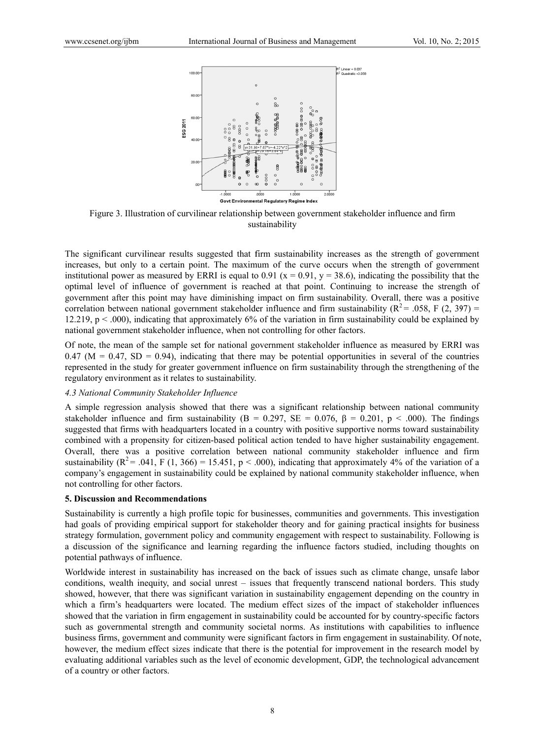

Figure 3. Illustration of curvilinear relationship between government stakeholder influence and firm su ustainability

The significant curvilinear results suggested that firm sustainability increases as the strength of government increases, but only to a certain point. The maximum of the curve occurs when the strength of government institutional power as measured by ERRI is equal to 0.91 ( $x = 0.91$ ,  $y = 38.6$ ), indicating the possibility that the optimal level of influence of government is reached at that point. Continuing to increase the strength of government after this point may have diminishing impact on firm sustainability. Overall, there was a positive correlation between national government stakeholder influence and firm sustainability ( $R^2$  = .058, F (2, 397) = 12.219,  $p < .000$ ), indicating that approximately 6% of the variation in firm sustainability could be explained by national government stakeholder influence, when not controlling for other factors.

Of note, the mean of the sample set for national government stakeholder influence as measured by ERRI was  $0.47$  (M = 0.47, SD = 0.94), indicating that there may be potential opportunities in several of the countries represented in the study for greater government influence on firm sustainability through the strengthening of the regulatory environment as it relates to sustainability.

#### 4.3 National Community Stakeholder Influence

A simple regression analysis showed that there was a significant relationship between national community stakeholder influence and firm sustainability ( $B = 0.297$ ,  $SE = 0.076$ ,  $\beta = 0.201$ ,  $p < .000$ ). The findings suggested that firms with headquarters located in a country with positive supportive norms toward sustainability combined with a propensity for citizen-based political action tended to have higher sustainability engagement. Overall, there was a positive correlation between national community stakeholder influence and firm sustainability ( $\mathbb{R}^2$  = .041, F (1, 366) = 15.451, p < .000), indicating that approximately 4% of the variation of a company's engagement in sustainability could be explained by national community stakeholder influence, when not contro lling for other factors.

### **5. Discuss sion and Reco mmendations s**

Sustainability is currently a high profile topic for businesses, communities and governments. This investigation had goals of providing empirical support for stakeholder theory and for gaining practical insights for business strategy formulation, government policy and community engagement with respect to sustainability. Following is a discussion of the significance and learning regarding the influence factors studied, including thoughts on potential p pathways of inf fluence.

Worldwide interest in sustainability has increased on the back of issues such as climate change, unsafe labor conditions, wealth inequity, and social unrest – issues that frequently transcend national borders. This study showed, however, that there was significant variation in sustainability engagement depending on the country in which a firm's headquarters were located. The medium effect sizes of the impact of stakeholder influences showed that the variation in firm engagement in sustainability could be accounted for by country-specific factors such as governmental strength and community societal norms. As institutions with capabilities to influence business firms, government and community were significant factors in firm engagement in sustainability. Of note, however, the medium effect sizes indicate that there is the potential for improvement in the research model by evaluating additional variables such as the level of economic development, GDP, the technological advancement of a country or other factors.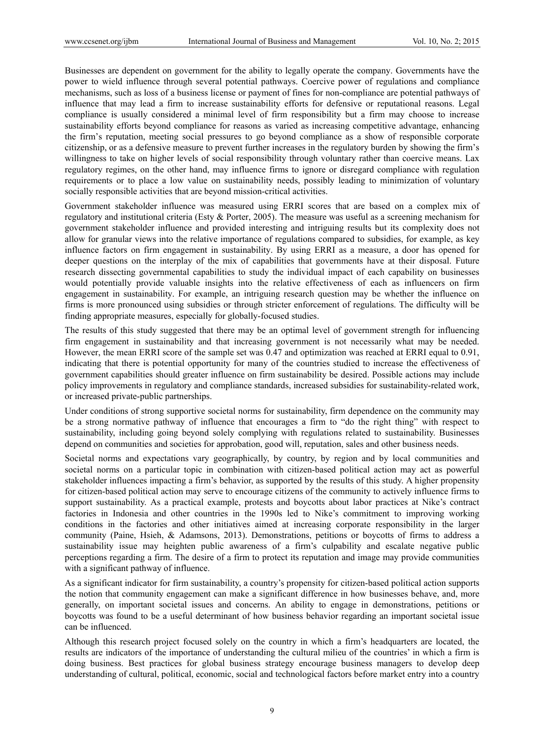Businesses are dependent on government for the ability to legally operate the company. Governments have the power to wield influence through several potential pathways. Coercive power of regulations and compliance mechanisms, such as loss of a business license or payment of fines for non-compliance are potential pathways of influence that may lead a firm to increase sustainability efforts for defensive or reputational reasons. Legal compliance is usually considered a minimal level of firm responsibility but a firm may choose to increase sustainability efforts beyond compliance for reasons as varied as increasing competitive advantage, enhancing the firm's reputation, meeting social pressures to go beyond compliance as a show of responsible corporate citizenship, or as a defensive measure to prevent further increases in the regulatory burden by showing the firm's willingness to take on higher levels of social responsibility through voluntary rather than coercive means. Lax regulatory regimes, on the other hand, may influence firms to ignore or disregard compliance with regulation requirements or to place a low value on sustainability needs, possibly leading to minimization of voluntary socially responsible activities that are beyond mission-critical activities.

Government stakeholder influence was measured using ERRI scores that are based on a complex mix of regulatory and institutional criteria (Esty & Porter, 2005). The measure was useful as a screening mechanism for government stakeholder influence and provided interesting and intriguing results but its complexity does not allow for granular views into the relative importance of regulations compared to subsidies, for example, as key influence factors on firm engagement in sustainability. By using ERRI as a measure, a door has opened for deeper questions on the interplay of the mix of capabilities that governments have at their disposal. Future research dissecting governmental capabilities to study the individual impact of each capability on businesses would potentially provide valuable insights into the relative effectiveness of each as influencers on firm engagement in sustainability. For example, an intriguing research question may be whether the influence on firms is more pronounced using subsidies or through stricter enforcement of regulations. The difficulty will be finding appropriate measures, especially for globally-focused studies.

The results of this study suggested that there may be an optimal level of government strength for influencing firm engagement in sustainability and that increasing government is not necessarily what may be needed. However, the mean ERRI score of the sample set was 0.47 and optimization was reached at ERRI equal to 0.91, indicating that there is potential opportunity for many of the countries studied to increase the effectiveness of government capabilities should greater influence on firm sustainability be desired. Possible actions may include policy improvements in regulatory and compliance standards, increased subsidies for sustainability-related work, or increased private-public partnerships.

Under conditions of strong supportive societal norms for sustainability, firm dependence on the community may be a strong normative pathway of influence that encourages a firm to "do the right thing" with respect to sustainability, including going beyond solely complying with regulations related to sustainability. Businesses depend on communities and societies for approbation, good will, reputation, sales and other business needs.

Societal norms and expectations vary geographically, by country, by region and by local communities and societal norms on a particular topic in combination with citizen-based political action may act as powerful stakeholder influences impacting a firm's behavior, as supported by the results of this study. A higher propensity for citizen-based political action may serve to encourage citizens of the community to actively influence firms to support sustainability. As a practical example, protests and boycotts about labor practices at Nike's contract factories in Indonesia and other countries in the 1990s led to Nike's commitment to improving working conditions in the factories and other initiatives aimed at increasing corporate responsibility in the larger community (Paine, Hsieh, & Adamsons, 2013). Demonstrations, petitions or boycotts of firms to address a sustainability issue may heighten public awareness of a firm's culpability and escalate negative public perceptions regarding a firm. The desire of a firm to protect its reputation and image may provide communities with a significant pathway of influence.

As a significant indicator for firm sustainability, a country's propensity for citizen-based political action supports the notion that community engagement can make a significant difference in how businesses behave, and, more generally, on important societal issues and concerns. An ability to engage in demonstrations, petitions or boycotts was found to be a useful determinant of how business behavior regarding an important societal issue can be influenced.

Although this research project focused solely on the country in which a firm's headquarters are located, the results are indicators of the importance of understanding the cultural milieu of the countries' in which a firm is doing business. Best practices for global business strategy encourage business managers to develop deep understanding of cultural, political, economic, social and technological factors before market entry into a country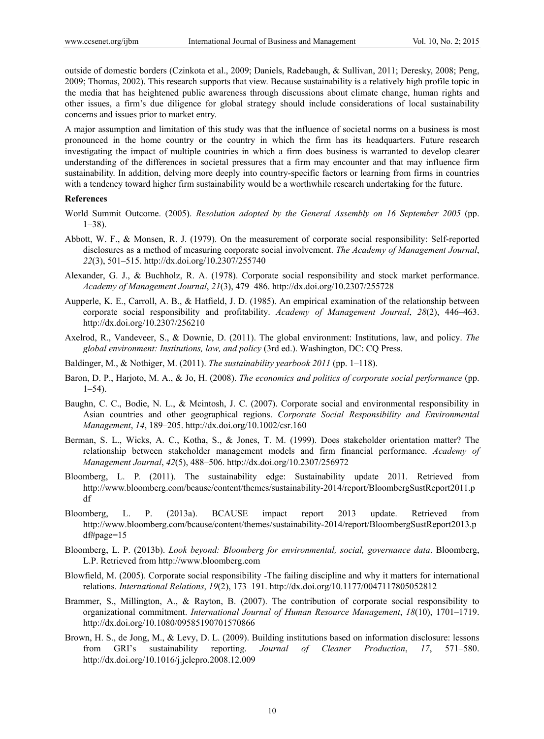outside of domestic borders (Czinkota et al., 2009; Daniels, Radebaugh, & Sullivan, 2011; Deresky, 2008; Peng, 2009; Thomas, 2002). This research supports that view. Because sustainability is a relatively high profile topic in the media that has heightened public awareness through discussions about climate change, human rights and other issues, a firm's due diligence for global strategy should include considerations of local sustainability concerns and issues prior to market entry.

A major assumption and limitation of this study was that the influence of societal norms on a business is most pronounced in the home country or the country in which the firm has its headquarters. Future research investigating the impact of multiple countries in which a firm does business is warranted to develop clearer understanding of the differences in societal pressures that a firm may encounter and that may influence firm sustainability. In addition, delving more deeply into country-specific factors or learning from firms in countries with a tendency toward higher firm sustainability would be a worthwhile research undertaking for the future.

## **References**

- World Summit Outcome. (2005). *Resolution adopted by the General Assembly on 16 September 2005* (pp. 1–38).
- Abbott, W. F., & Monsen, R. J. (1979). On the measurement of corporate social responsibility: Self-reported disclosures as a method of measuring corporate social involvement. *The Academy of Management Journal*, *22*(3), 501–515. http://dx.doi.org/10.2307/255740
- Alexander, G. J., & Buchholz, R. A. (1978). Corporate social responsibility and stock market performance. *Academy of Management Journal*, *21*(3), 479–486. http://dx.doi.org/10.2307/255728
- Aupperle, K. E., Carroll, A. B., & Hatfield, J. D. (1985). An empirical examination of the relationship between corporate social responsibility and profitability. *Academy of Management Journal*, *28*(2), 446–463. http://dx.doi.org/10.2307/256210
- Axelrod, R., Vandeveer, S., & Downie, D. (2011). The global environment: Institutions, law, and policy. *The global environment: Institutions, law, and policy* (3rd ed.). Washington, DC: CQ Press.
- Baldinger, M., & Nothiger, M. (2011). *The sustainability yearbook 2011* (pp. 1–118).
- Baron, D. P., Harjoto, M. A., & Jo, H. (2008). *The economics and politics of corporate social performance* (pp. 1–54).
- Baughn, C. C., Bodie, N. L., & Mcintosh, J. C. (2007). Corporate social and environmental responsibility in Asian countries and other geographical regions. *Corporate Social Responsibility and Environmental Management*, *14*, 189–205. http://dx.doi.org/10.1002/csr.160
- Berman, S. L., Wicks, A. C., Kotha, S., & Jones, T. M. (1999). Does stakeholder orientation matter? The relationship between stakeholder management models and firm financial performance. *Academy of Management Journal*, *42*(5), 488–506. http://dx.doi.org/10.2307/256972
- Bloomberg, L. P. (2011). The sustainability edge: Sustainability update 2011. Retrieved from http://www.bloomberg.com/bcause/content/themes/sustainability-2014/report/BloombergSustReport2011.p df
- Bloomberg, L. P. (2013a). BCAUSE impact report 2013 update. Retrieved from http://www.bloomberg.com/bcause/content/themes/sustainability-2014/report/BloombergSustReport2013.p df#page=15
- Bloomberg, L. P. (2013b). *Look beyond: Bloomberg for environmental, social, governance data*. Bloomberg, L.P. Retrieved from http://www.bloomberg.com
- Blowfield, M. (2005). Corporate social responsibility -The failing discipline and why it matters for international relations. *International Relations*, *19*(2), 173–191. http://dx.doi.org/10.1177/0047117805052812
- Brammer, S., Millington, A., & Rayton, B. (2007). The contribution of corporate social responsibility to organizational commitment. *International Journal of Human Resource Management*, *18*(10), 1701–1719. http://dx.doi.org/10.1080/09585190701570866
- Brown, H. S., de Jong, M., & Levy, D. L. (2009). Building institutions based on information disclosure: lessons from GRI's sustainability reporting. *Journal of Cleaner Production*, *17*, 571–580. http://dx.doi.org/10.1016/j.jclepro.2008.12.009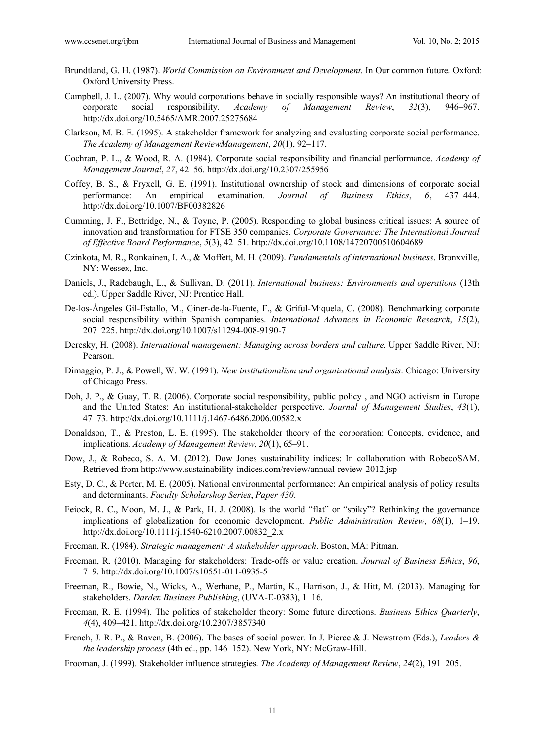- Brundtland, G. H. (1987). *World Commission on Environment and Development*. In Our common future. Oxford: Oxford University Press.
- Campbell, J. L. (2007). Why would corporations behave in socially responsible ways? An institutional theory of corporate social responsibility. *Academy of Management Review*, *32*(3), 946–967. http://dx.doi.org/10.5465/AMR.2007.25275684
- Clarkson, M. B. E. (1995). A stakeholder framework for analyzing and evaluating corporate social performance. *The Academy of Management ReviewManagement*, *20*(1), 92–117.
- Cochran, P. L., & Wood, R. A. (1984). Corporate social responsibility and financial performance. *Academy of Management Journal*, *27*, 42–56. http://dx.doi.org/10.2307/255956
- Coffey, B. S., & Fryxell, G. E. (1991). Institutional ownership of stock and dimensions of corporate social performance: An empirical examination. *Journal of Business Ethics*, *6*, 437–444. http://dx.doi.org/10.1007/BF00382826
- Cumming, J. F., Bettridge, N., & Toyne, P. (2005). Responding to global business critical issues: A source of innovation and transformation for FTSE 350 companies. *Corporate Governance: The International Journal of Effective Board Performance*, *5*(3), 42–51. http://dx.doi.org/10.1108/14720700510604689
- Czinkota, M. R., Ronkainen, I. A., & Moffett, M. H. (2009). *Fundamentals of international business*. Bronxville, NY: Wessex, Inc.
- Daniels, J., Radebaugh, L., & Sullivan, D. (2011). *International business: Environments and operations* (13th ed.). Upper Saddle River, NJ: Prentice Hall.
- De-los-Ángeles Gil-Estallo, M., Giner-de-la-Fuente, F., & Gríful-Miquela, C. (2008). Benchmarking corporate social responsibility within Spanish companies. *International Advances in Economic Research*, *15*(2), 207–225. http://dx.doi.org/10.1007/s11294-008-9190-7
- Deresky, H. (2008). *International management: Managing across borders and culture*. Upper Saddle River, NJ: Pearson.
- Dimaggio, P. J., & Powell, W. W. (1991). *New institutionalism and organizational analysis*. Chicago: University of Chicago Press.
- Doh, J. P., & Guay, T. R. (2006). Corporate social responsibility, public policy , and NGO activism in Europe and the United States: An institutional-stakeholder perspective. *Journal of Management Studies*, *43*(1), 47–73. http://dx.doi.org/10.1111/j.1467-6486.2006.00582.x
- Donaldson, T., & Preston, L. E. (1995). The stakeholder theory of the corporation: Concepts, evidence, and implications. *Academy of Management Review*, *20*(1), 65–91.
- Dow, J., & Robeco, S. A. M. (2012). Dow Jones sustainability indices: In collaboration with RobecoSAM. Retrieved from http://www.sustainability-indices.com/review/annual-review-2012.jsp
- Esty, D. C., & Porter, M. E. (2005). National environmental performance: An empirical analysis of policy results and determinants. *Faculty Scholarshop Series*, *Paper 430*.
- Feiock, R. C., Moon, M. J., & Park, H. J. (2008). Is the world "flat" or "spiky"? Rethinking the governance implications of globalization for economic development. *Public Administration Review*, *68*(1), 1–19. http://dx.doi.org/10.1111/j.1540-6210.2007.00832\_2.x
- Freeman, R. (1984). *Strategic management: A stakeholder approach*. Boston, MA: Pitman.
- Freeman, R. (2010). Managing for stakeholders: Trade-offs or value creation. *Journal of Business Ethics*, *96*, 7–9. http://dx.doi.org/10.1007/s10551-011-0935-5
- Freeman, R., Bowie, N., Wicks, A., Werhane, P., Martin, K., Harrison, J., & Hitt, M. (2013). Managing for stakeholders. *Darden Business Publishing*, (UVA-E-0383), 1–16.
- Freeman, R. E. (1994). The politics of stakeholder theory: Some future directions. *Business Ethics Quarterly*, *4*(4), 409–421. http://dx.doi.org/10.2307/3857340
- French, J. R. P., & Raven, B. (2006). The bases of social power. In J. Pierce & J. Newstrom (Eds.), *Leaders & the leadership process* (4th ed., pp. 146–152). New York, NY: McGraw-Hill.
- Frooman, J. (1999). Stakeholder influence strategies. *The Academy of Management Review*, *24*(2), 191–205.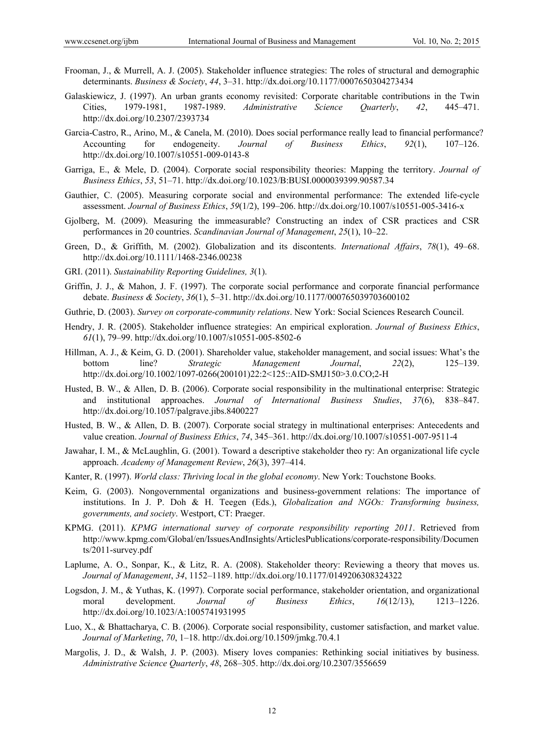- Frooman, J., & Murrell, A. J. (2005). Stakeholder influence strategies: The roles of structural and demographic determinants. *Business & Society*, *44*, 3–31. http://dx.doi.org/10.1177/0007650304273434
- Galaskiewicz, J. (1997). An urban grants economy revisited: Corporate charitable contributions in the Twin Cities, 1979-1981, 1987-1989. *Administrative Science Quarterly*, *42*, 445–471. http://dx.doi.org/10.2307/2393734
- Garcia-Castro, R., Arino, M., & Canela, M. (2010). Does social performance really lead to financial performance? Accounting for endogeneity. *Journal of Business Ethics*, *92*(1), 107–126. http://dx.doi.org/10.1007/s10551-009-0143-8
- Garriga, E., & Mele, D. (2004). Corporate social responsibility theories: Mapping the territory. *Journal of Business Ethics*, *53*, 51–71. http://dx.doi.org/10.1023/B:BUSI.0000039399.90587.34
- Gauthier, C. (2005). Measuring corporate social and environmental performance: The extended life-cycle assessment. *Journal of Business Ethics*, *59*(1/2), 199–206. http://dx.doi.org/10.1007/s10551-005-3416-x
- Gjolberg, M. (2009). Measuring the immeasurable? Constructing an index of CSR practices and CSR performances in 20 countries. *Scandinavian Journal of Management*, *25*(1), 10–22.
- Green, D., & Griffith, M. (2002). Globalization and its discontents. *International Affairs*, *78*(1), 49–68. http://dx.doi.org/10.1111/1468-2346.00238
- GRI. (2011). *Sustainability Reporting Guidelines, 3*(1).
- Griffin, J. J., & Mahon, J. F. (1997). The corporate social performance and corporate financial performance debate. *Business & Society*, *36*(1), 5–31. http://dx.doi.org/10.1177/000765039703600102
- Guthrie, D. (2003). *Survey on corporate-community relations*. New York: Social Sciences Research Council.
- Hendry, J. R. (2005). Stakeholder influence strategies: An empirical exploration. *Journal of Business Ethics*, *61*(1), 79–99. http://dx.doi.org/10.1007/s10551-005-8502-6
- Hillman, A. J., & Keim, G. D. (2001). Shareholder value, stakeholder management, and social issues: What's the bottom line? *Strategic Management Journal*, *22*(2), 125–139. http://dx.doi.org/10.1002/1097-0266(200101)22:2<125::AID-SMJ150>3.0.CO;2-H
- Husted, B. W., & Allen, D. B. (2006). Corporate social responsibility in the multinational enterprise: Strategic and institutional approaches. *Journal of International Business Studies*, *37*(6), 838–847. http://dx.doi.org/10.1057/palgrave.jibs.8400227
- Husted, B. W., & Allen, D. B. (2007). Corporate social strategy in multinational enterprises: Antecedents and value creation. *Journal of Business Ethics*, *74*, 345–361. http://dx.doi.org/10.1007/s10551-007-9511-4
- Jawahar, I. M., & McLaughlin, G. (2001). Toward a descriptive stakeholder theo ry: An organizational life cycle approach. *Academy of Management Review*, *26*(3), 397–414.
- Kanter, R. (1997). *World class: Thriving local in the global economy*. New York: Touchstone Books.
- Keim, G. (2003). Nongovernmental organizations and business-government relations: The importance of institutions. In J. P. Doh & H. Teegen (Eds.), *Globalization and NGOs: Transforming business, governments, and society*. Westport, CT: Praeger.
- KPMG. (2011). *KPMG international survey of corporate responsibility reporting 2011*. Retrieved from http://www.kpmg.com/Global/en/IssuesAndInsights/ArticlesPublications/corporate-responsibility/Documen ts/2011-survey.pdf
- Laplume, A. O., Sonpar, K., & Litz, R. A. (2008). Stakeholder theory: Reviewing a theory that moves us. *Journal of Management*, *34*, 1152–1189. http://dx.doi.org/10.1177/0149206308324322
- Logsdon, J. M., & Yuthas, K. (1997). Corporate social performance, stakeholder orientation, and organizational moral development. *Journal of Business Ethics*, *16*(12/13), 1213–1226. http://dx.doi.org/10.1023/A:1005741931995
- Luo, X., & Bhattacharya, C. B. (2006). Corporate social responsibility, customer satisfaction, and market value. *Journal of Marketing*, *70*, 1–18. http://dx.doi.org/10.1509/jmkg.70.4.1
- Margolis, J. D., & Walsh, J. P. (2003). Misery loves companies: Rethinking social initiatives by business. *Administrative Science Quarterly*, *48*, 268–305. http://dx.doi.org/10.2307/3556659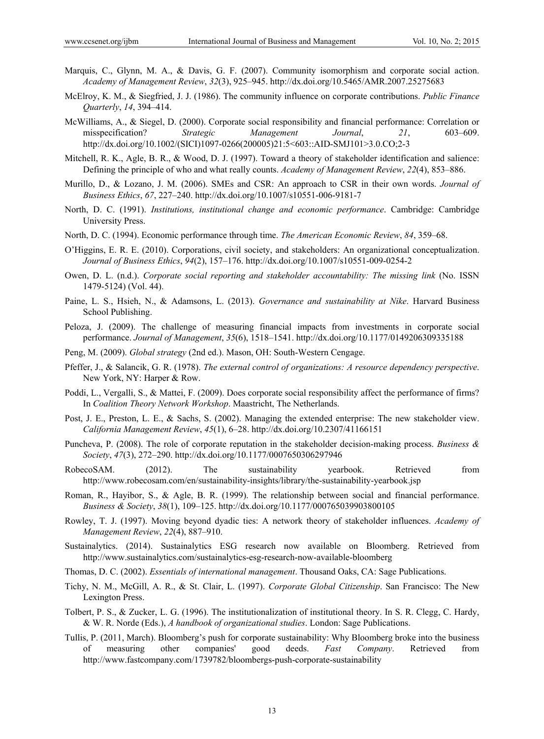- Marquis, C., Glynn, M. A., & Davis, G. F. (2007). Community isomorphism and corporate social action. *Academy of Management Review*, *32*(3), 925–945. http://dx.doi.org/10.5465/AMR.2007.25275683
- McElroy, K. M., & Siegfried, J. J. (1986). The community influence on corporate contributions. *Public Finance Quarterly*, *14*, 394–414.
- McWilliams, A., & Siegel, D. (2000). Corporate social responsibility and financial performance: Correlation or misspecification? *Strategic Management Journal*, *21*, 603–609. http://dx.doi.org/10.1002/(SICI)1097-0266(200005)21:5<603::AID-SMJ101>3.0.CO;2-3
- Mitchell, R. K., Agle, B. R., & Wood, D. J. (1997). Toward a theory of stakeholder identification and salience: Defining the principle of who and what really counts. *Academy of Management Review*, *22*(4), 853–886.
- Murillo, D., & Lozano, J. M. (2006). SMEs and CSR: An approach to CSR in their own words. *Journal of Business Ethics*, *67*, 227–240. http://dx.doi.org/10.1007/s10551-006-9181-7
- North, D. C. (1991). *Institutions, institutional change and economic performance*. Cambridge: Cambridge University Press.
- North, D. C. (1994). Economic performance through time. *The American Economic Review*, *84*, 359–68.
- O'Higgins, E. R. E. (2010). Corporations, civil society, and stakeholders: An organizational conceptualization. *Journal of Business Ethics*, *94*(2), 157–176. http://dx.doi.org/10.1007/s10551-009-0254-2
- Owen, D. L. (n.d.). *Corporate social reporting and stakeholder accountability: The missing link* (No. ISSN 1479-5124) (Vol. 44).
- Paine, L. S., Hsieh, N., & Adamsons, L. (2013). *Governance and sustainability at Nike*. Harvard Business School Publishing.
- Peloza, J. (2009). The challenge of measuring financial impacts from investments in corporate social performance. *Journal of Management*, *35*(6), 1518–1541. http://dx.doi.org/10.1177/0149206309335188
- Peng, M. (2009). *Global strategy* (2nd ed.). Mason, OH: South-Western Cengage.
- Pfeffer, J., & Salancik, G. R. (1978). *The external control of organizations: A resource dependency perspective*. New York, NY: Harper & Row.
- Poddi, L., Vergalli, S., & Mattei, F. (2009). Does corporate social responsibility affect the performance of firms? In *Coalition Theory Network Workshop*. Maastricht, The Netherlands.
- Post, J. E., Preston, L. E., & Sachs, S. (2002). Managing the extended enterprise: The new stakeholder view. *California Management Review*, *45*(1), 6–28. http://dx.doi.org/10.2307/41166151
- Puncheva, P. (2008). The role of corporate reputation in the stakeholder decision-making process. *Business & Society*, *47*(3), 272–290. http://dx.doi.org/10.1177/0007650306297946
- RobecoSAM. (2012). The sustainability yearbook. Retrieved from http://www.robecosam.com/en/sustainability-insights/library/the-sustainability-yearbook.jsp
- Roman, R., Hayibor, S., & Agle, B. R. (1999). The relationship between social and financial performance. *Business & Society*, *38*(1), 109–125. http://dx.doi.org/10.1177/000765039903800105
- Rowley, T. J. (1997). Moving beyond dyadic ties: A network theory of stakeholder influences. *Academy of Management Review*, *22*(4), 887–910.
- Sustainalytics. (2014). Sustainalytics ESG research now available on Bloomberg. Retrieved from http://www.sustainalytics.com/sustainalytics-esg-research-now-available-bloomberg
- Thomas, D. C. (2002). *Essentials of international management*. Thousand Oaks, CA: Sage Publications.
- Tichy, N. M., McGill, A. R., & St. Clair, L. (1997). *Corporate Global Citizenship*. San Francisco: The New Lexington Press.
- Tolbert, P. S., & Zucker, L. G. (1996). The institutionalization of institutional theory. In S. R. Clegg, C. Hardy, & W. R. Norde (Eds.), *A handbook of organizational studies*. London: Sage Publications.
- Tullis, P. (2011, March). Bloomberg's push for corporate sustainability: Why Bloomberg broke into the business of measuring other companies' good deeds. *Fast Company*. Retrieved from http://www.fastcompany.com/1739782/bloombergs-push-corporate-sustainability